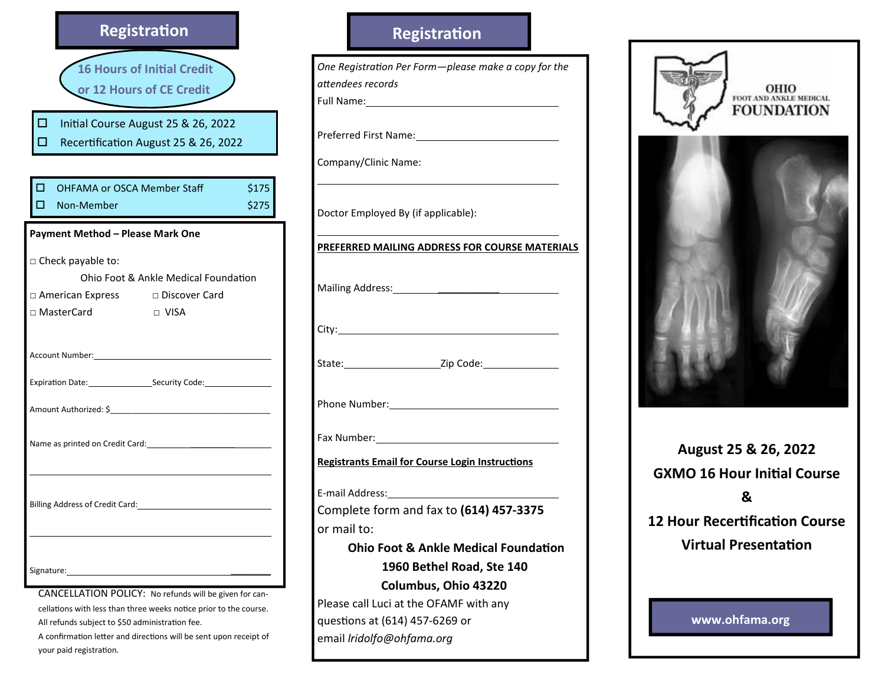

CANCELLATION POLICY: No refunds will be given for cancellations with less than three weeks notice prior to the course. All refunds subject to \$50 administration fee. A confirmation letter and directions will be sent upon receipt of your paid registration.

# Registration





August 25 & 26, 2022 **GXMO 16 Hour Initial Course** & 12 Hour Recertification Course **Virtual Presentation** 

www.ohfama.org